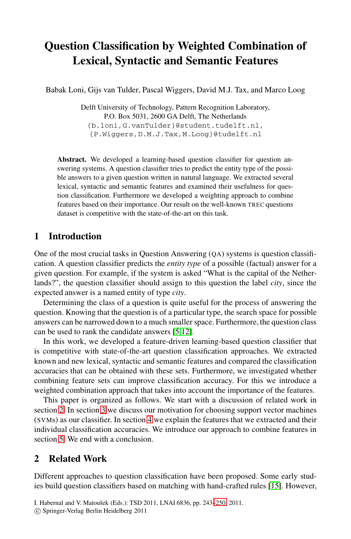# **Question Classification by Weighted Combination of Lexical, Syntactic and Semantic Features**

Babak Loni, Gijs van Tulder, Pascal Wiggers, David M.J. Tax, and Marco Loog

Delft University of Technology, Pattern Recognition Laboratory, P.O. Box 5031, 2600 GA Delft, The Netherlands {b.loni,G.vanTulder}@student.tudelft.nl, {P.Wiggers,D.M.J.Tax,M.Loog}@tudelft.nl

**Abstract.** We developed a learning-based question classifier for question answering systems. A question classifier tries to predict the entity type of the possible answers to a given question written in natural language. We extracted several lexical, syntactic and semantic features and examined their usefulness for question classification. Furthermore we developed a weighting approach to combine features based on their importance. Our result on the well-known TREC questions dataset is competitive with the state-of-the-art on this task.

## **1 Introduction**

One of the most crucial tasks in Question Answering (QA) systems is question classification. A question classifier predicts the *entity type* of a possible (factual) answer for a given question. For example, if the system is asked "What is the capital of the Netherlands?", the question classifier should assign to this question the label *city*, since the expected answer is a named entity of type *city*.

Determining the class of a question is quite useful for the process of answering the question. Knowing that the question is of a particular type, the search space for possible answers can be narrowed down to a much smaller space. Furthermore, the question class can be used to rank the candidate answers [\[5](#page-7-0)[,12\]](#page-7-1).

In this work, we developed a feature-driven learning-based question classifier that is competitive with state-of-the-art question classification approaches. We extracted known and new lexical, syntactic and semantic features and compared the classification accuracies that can be obtained with these sets. Furthermore, we investigated whether combining feature sets can improve classification accuracy. For this we introduce a weighted combination approach that takes into account the importance of the features.

This paper is organized as follows. We start with a discussion of related work in section [2.](#page-0-0) In section [3](#page-1-0) we discuss our motivation for choosing support vector machines (SVMs) as our classifier. In section [4](#page-2-0) we explain the features that we extracted and their individual classification accuracies. We introduce our approach to combine features in section [5.](#page-5-0) We end with a conclusion.

## <span id="page-0-0"></span>**2 Related Work**

Different approaches to question classification have been proposed. Some early studies build question classifiers based on matching with hand-crafted rules [\[15\]](#page-7-2). However,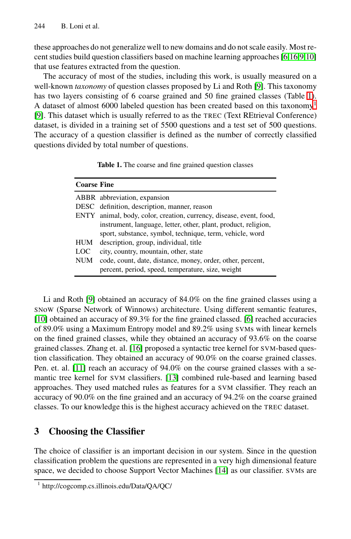these approaches do not generalize well to new domains and do not scale easily. Most recent studies build question classifiers based on machine learning approaches [\[6](#page-7-4)[,16](#page-7-5)[,9](#page-7-6)[,10\]](#page-7-7) that use features extracted from the question.

The accuracy of most of the studies, including this work, is usually measured on a well-known *taxonomy* of question classes proposed by Li and Roth [\[9\]](#page-7-6). This taxonomy has two layers consisting of 6 coarse grained and 50 fine grained classes (Table [1\)](#page-1-1). A dataset of almost 6000 labeled question has been created based on this taxonomy<sup>[1](#page-1-2)</sup> [\[9\]](#page-7-6). This dataset which is usually referred to as the TREC (Text REtrieval Conference) dataset, is divided in a training set of 5500 questions and a test set of 500 questions. The accuracy of a question classifier is defined as the number of correctly classified questions divided by total number of questions.

<span id="page-1-1"></span>**Table 1.** The coarse and fine grained question classes

| <b>Coarse Fine</b> |                                                                                                                 |
|--------------------|-----------------------------------------------------------------------------------------------------------------|
|                    | ABBR abbreviation, expansion                                                                                    |
|                    | DESC definition, description, manner, reason                                                                    |
|                    | ENTY animal, body, color, creation, currency, disease, event, food,                                             |
|                    | instrument, language, letter, other, plant, product, religion,                                                  |
|                    | sport, substance, symbol, technique, term, vehicle, word                                                        |
| HUM                | description, group, individual, title                                                                           |
| LOC                | city, country, mountain, other, state                                                                           |
| <b>NUM</b>         | code, count, date, distance, money, order, other, percent,<br>percent, period, speed, temperature, size, weight |

Li and Roth [\[9\]](#page-7-6) obtained an accuracy of 84.0% on the fine grained classes using a SNoW (Sparse Network of Winnows) architecture. Using different semantic features, [\[10\]](#page-7-7) obtained an accuracy of 89.3% for the fine grained classed. [\[6\]](#page-7-4) reached accuracies of 89.0% using a Maximum Entropy model and 89.2% using SVMs with linear kernels on the fined grained classes, while they obtained an accuracy of 93.6% on the coarse grained classes. Zhang et. al. [\[16\]](#page-7-5) proposed a syntactic tree kernel for SVM-based question classification. They obtained an accuracy of 90.0% on the coarse grained classes. Pen. et. al. [\[11\]](#page-7-8) reach an accuracy of 94.0% on the course grained classes with a semantic tree kernel for SVM classifiers. [\[13\]](#page-7-9) combined rule-based and learning based approaches. They used matched rules as features for a SVM classifier. They reach an accuracy of 90.0% on the fine grained and an accuracy of 94.2% on the coarse grained classes. To our knowledge this is the highest accuracy achieved on the TREC dataset.

## <span id="page-1-0"></span>**3 Choosing the Classifier**

The choice of classifier is an important decision in our system. Since in the question classification problem the questions are represented in a very high dimensional feature space, we decided to choose Support Vector Machines [\[14\]](#page-7-10) as our classifier. SVMs are

<span id="page-1-2"></span><sup>1</sup> http://cogcomp.cs.illinois.edu/Data/QA/QC/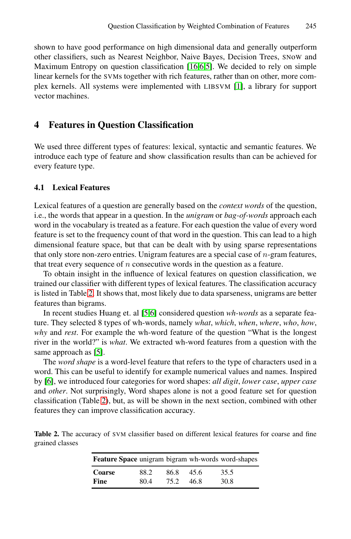shown to have good performance on high dimensional data and generally outperform other classifiers, such as Nearest Neighbor, Naive Bayes, Decision Trees, SNoW and Maximum Entropy on question classification [\[16,](#page-7-5)[6](#page-7-4)[,5\]](#page-7-0). We decided to rely on simple linear kernels for the SVMs together with rich features, rather than on other, more complex kernels. All systems were implemented with LIBSVM [\[1\]](#page-6-0), a library for support vector machines.

### <span id="page-2-0"></span>**4 Features in Question Classification**

We used three different types of features: lexical, syntactic and semantic features. We introduce each type of feature and show classification results than can be achieved for every feature type.

#### **4.1 Lexical Features**

Lexical features of a question are generally based on the *context words* of the question, i.e., the words that appear in a question. In the *unigram* or *bag-of-words* approach each word in the vocabulary is treated as a feature. For each question the value of every word feature is set to the frequency count of that word in the question. This can lead to a high dimensional feature space, but that can be dealt with by using sparse representations that only store non-zero entries. Unigram features are a special case of *n*-gram features, that treat every sequence of *n* consecutive words in the question as a feature.

To obtain insight in the influence of lexical features on question classification, we trained our classifier with different types of lexical features. The classification accuracy is listed in Table [2.](#page-2-1) It shows that, most likely due to data sparseness, unigrams are better features than bigrams.

In recent studies Huang et. al [\[5](#page-7-0)[,6\]](#page-7-4) considered question *wh-words* as a separate feature. They selected 8 types of wh-words, namely *what*, *which*, *when*, *where*, *who*, *how*, *why* and *rest*. For example the wh-word feature of the question "What is the longest river in the world?" is *what*. We extracted wh-word features from a question with the same approach as [\[5\]](#page-7-0).

The *word shape* is a word-level feature that refers to the type of characters used in a word. This can be useful to identify for example numerical values and names. Inspired by [\[6\]](#page-7-4), we introduced four categories for word shapes: *all digit*, *lower case*, *upper case* and *other*. Not surprisingly, Word shapes alone is not a good feature set for question classification (Table [2\)](#page-2-1), but, as will be shown in the next section, combined with other features they can improve classification accuracy.

<span id="page-2-1"></span>

| <b>Feature Space</b> unigram bigram wh-words word-shapes |      |      |      |      |
|----------------------------------------------------------|------|------|------|------|
| Coarse                                                   | 88.2 | 86.8 | 45.6 | 35.5 |
| Fine                                                     | 804  | 75 2 | 46 8 | 30.8 |

**Table 2.** The accuracy of SVM classifier based on different lexical features for coarse and fine grained classes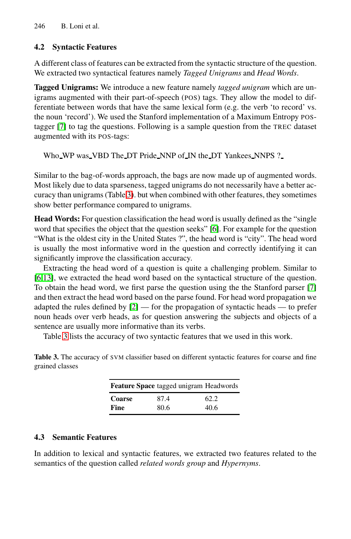#### **4.2 Syntactic Features**

A different class of features can be extracted from the syntactic structure of the question. We extracted two syntactical features namely *Tagged Unigrams* and *Head Words*.

**Tagged Unigrams:** We introduce a new feature namely *tagged unigram* which are unigrams augmented with their part-of-speech (POS) tags. They allow the model to differentiate between words that have the same lexical form (e.g. the verb 'to record' vs. the noun 'record'). We used the Stanford implementation of a Maximum Entropy POStagger [\[7\]](#page-7-11) to tag the questions. Following is a sample question from the TREC dataset augmented with its POS-tags:

Who WP was VBD The DT Pride NNP of IN the DT Yankees NNPS ?

Similar to the bag-of-words approach, the bags are now made up of augmented words. Most likely due to data sparseness, tagged unigrams do not necessarily have a better accuracy than unigrams (Table [3\)](#page-3-0). but when combined with other features, they sometimes show better performance compared to unigrams.

**Head Words:** For question classification the head word is usually defined as the "single word that specifies the object that the question seeks" [\[6\]](#page-7-4). For example for the question "What is the oldest city in the United States ?", the head word is "city". The head word is usually the most informative word in the question and correctly identifying it can significantly improve the classification accuracy.

Extracting the head word of a question is quite a challenging problem. Similar to [\[6,](#page-7-4)[13\]](#page-7-9), we extracted the head word based on the syntactical structure of the question. To obtain the head word, we first parse the question using the the Stanford parser [\[7\]](#page-7-11) and then extract the head word based on the parse found. For head word propagation we adapted the rules defined by  $[2]$  — for the propagation of syntactic heads — to prefer noun heads over verb heads, as for question answering the subjects and objects of a sentence are usually more informative than its verbs.

Table [3](#page-3-0) lists the accuracy of two syntactic features that we used in this work.

<span id="page-3-0"></span>**Table 3.** The accuracy of SVM classifier based on different syntactic features for coarse and fine grained classes

|        |      | <b>Feature Space</b> tagged unigram Headwords |
|--------|------|-----------------------------------------------|
| Coarse | 87.4 | 62.2                                          |
| Fine   | 80.6 | 40.6                                          |

#### **4.3 Semantic Features**

In addition to lexical and syntactic features, we extracted two features related to the semantics of the question called *related words group* and *Hypernyms*.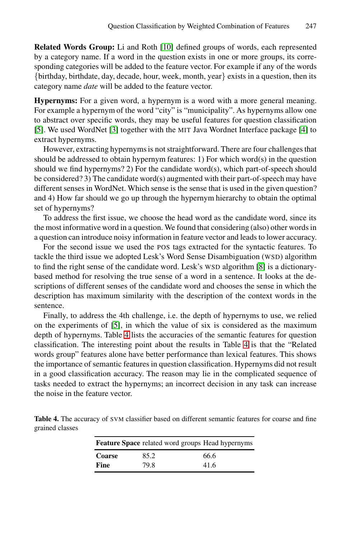**Related Words Group:** Li and Roth [\[10\]](#page-7-7) defined groups of words, each represented by a category name. If a word in the question exists in one or more groups, its corresponding categories will be added to the feature vector. For example if any of the words *{*birthday, birthdate, day, decade, hour, week, month, year*}* exists in a question, then its category name *date* will be added to the feature vector.

**Hypernyms:** For a given word, a hypernym is a word with a more general meaning. For example a hypernym of the word "city" is "municipality". As hypernyms allow one to abstract over specific words, they may be useful features for question classification [\[5\]](#page-7-0). We used WordNet [\[3\]](#page-6-2) together with the MIT Java Wordnet Interface package [\[4\]](#page-6-3) to extract hypernyms.

However, extracting hypernyms is not straightforward. There are four challenges that should be addressed to obtain hypernym features: 1) For which word(s) in the question should we find hypernyms? 2) For the candidate word(s), which part-of-speech should be considered? 3) The candidate word(s) augmented with their part-of-speech may have different senses in WordNet. Which sense is the sense that is used in the given question? and 4) How far should we go up through the hypernym hierarchy to obtain the optimal set of hypernyms?

To address the first issue, we choose the head word as the candidate word, since its the most informative word in a question. We found that considering (also) other words in a question can introduce noisy information in feature vector and leads to lower accuracy.

For the second issue we used the POS tags extracted for the syntactic features. To tackle the third issue we adopted Lesk's Word Sense Disambiguation (WSD) algorithm to find the right sense of the candidate word. Lesk's WSD algorithm [\[8\]](#page-7-12) is a dictionarybased method for resolving the true sense of a word in a sentence. It looks at the descriptions of different senses of the candidate word and chooses the sense in which the description has maximum similarity with the description of the context words in the sentence.

Finally, to address the 4th challenge, i.e. the depth of hypernyms to use, we relied on the experiments of [\[5\]](#page-7-0), in which the value of six is considered as the maximum depth of hypernyms. Table [4](#page-4-0) lists the accuracies of the semantic features for question classification. The interesting point about the results in Table [4](#page-4-0) is that the "Related words group" features alone have better performance than lexical features. This shows the importance of semantic features in question classification. Hypernyms did not result in a good classification accuracy. The reason may lie in the complicated sequence of tasks needed to extract the hypernyms; an incorrect decision in any task can increase the noise in the feature vector.

<span id="page-4-0"></span>**Table 4.** The accuracy of SVM classifier based on different semantic features for coarse and fine grained classes

|               |      | Feature Space related word groups Head hypernyms |
|---------------|------|--------------------------------------------------|
| <b>Coarse</b> | 85.2 | 66.6                                             |
| Fine          | 79.8 | 41.6                                             |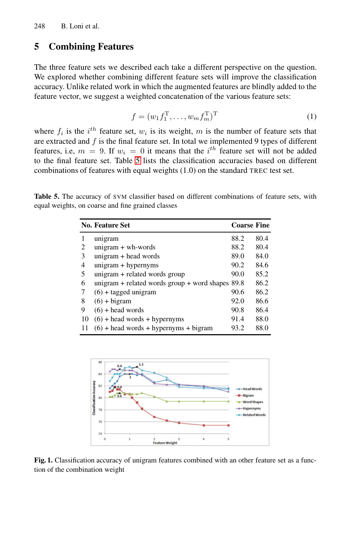#### <span id="page-5-0"></span>**5 Combining Features**

The three feature sets we described each take a different perspective on the question. We explored whether combining different feature sets will improve the classification accuracy. Unlike related work in which the augmented features are blindly added to the feature vector, we suggest a weighted concatenation of the various feature sets:

<span id="page-5-2"></span>
$$
f = (w_1 f_1^{\mathrm{T}}, \dots, w_m f_m^{\mathrm{T}})^{\mathrm{T}}
$$
 (1)

where  $f_i$  is the  $i^{th}$  feature set,  $w_i$  is its weight,  $m$  is the number of feature sets that are extracted and *f* is the final feature set. In total we implemented 9 types of different features, i.e,  $m = 9$ . If  $w_i = 0$  it means that the  $i^{th}$  feature set will not be added to the final feature set. Table [5](#page-5-1) lists the classification accuracies based on different combinations of features with equal weights (1.0) on the standard TREC test set.

**Table 5.** The accuracy of SVM classifier based on different combinations of feature sets, with equal weights, on coarse and fine grained classes

<span id="page-5-1"></span>

|    | <b>No. Feature Set</b>                             | <b>Coarse Fine</b> |      |
|----|----------------------------------------------------|--------------------|------|
|    | unigram                                            | 88.2               | 80.4 |
| 2  | $unigram + wh-words$                               | 88.2               | 80.4 |
| 3  | unigram + head words                               | 89.0               | 84.0 |
| 4  | $unigram + hypernyms$                              | 90.2               | 84.6 |
| 5  | unigram + related words group                      | 90.0               | 85.2 |
| 6  | unigram + related words group + word shapes $89.8$ |                    | 86.2 |
| 7  | $(6)$ + tagged unigram                             | 90.6               | 86.2 |
| 8  | $(6) + bigram$                                     | 92.0               | 86.6 |
| 9  | $(6)$ + head words                                 | 90.8               | 86.4 |
| 10 | $(6)$ + head words + hypernyms                     | 91.4               | 88.0 |
| 11 | $(6)$ + head words + hypernyms + bigram            | 93.2               | 88.0 |



<span id="page-5-3"></span>**Fig. 1.** Classification accuracy of unigram features combined with an other feature set as a function of the combination weight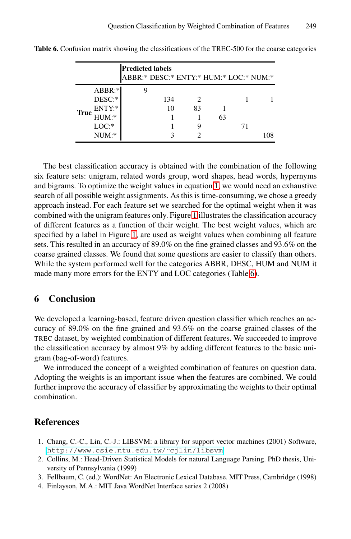<span id="page-6-4"></span>

| <b>Predicted labels</b><br>ABBR:* DESC:* ENTY:* HUM:* LOC:* NUM:* |           |  |     |    |    |    |     |
|-------------------------------------------------------------------|-----------|--|-----|----|----|----|-----|
| True                                                              | ABBR:     |  |     |    |    |    |     |
|                                                                   | $DESC:$ * |  | 134 | 2  |    |    |     |
|                                                                   | ENTY:     |  | 10  | 83 |    |    |     |
|                                                                   | HUM:      |  |     |    | 63 |    |     |
|                                                                   | LOC:      |  |     |    |    | 71 |     |
|                                                                   | NUM:      |  |     |    |    |    | 108 |

**Table 6.** Confusion matrix showing the classifications of the TREC-500 for the coarse categories

The best classification accuracy is obtained with the combination of the following six feature sets: unigram, related words group, word shapes, head words, hypernyms and bigrams. To optimize the weight values in equation [1,](#page-5-2) we would need an exhaustive search of all possible weight assignments. As this is time-consuming, we chose a greedy approach instead. For each feature set we searched for the optimal weight when it was combined with the unigram features only. Figure [1](#page-5-3) illustrates the classification accuracy of different features as a function of their weight. The best weight values, which are specified by a label in Figure [1,](#page-5-3) are used as weight values when combining all feature sets. This resulted in an accuracy of 89.0% on the fine grained classes and 93.6% on the coarse grained classes. We found that some questions are easier to classify than others. While the system performed well for the categories ABBR, DESC, HUM and NUM it made many more errors for the ENTY and LOC categories (Table [6\)](#page-6-4).

#### **6 Conclusion**

We developed a learning-based, feature driven question classifier which reaches an accuracy of 89.0% on the fine grained and 93.6% on the coarse grained classes of the TREC dataset, by weighted combination of different features. We succeeded to improve the classification accuracy by almost 9% by adding different features to the basic unigram (bag-of-word) features.

We introduced the concept of a weighted combination of features on question data. Adopting the weights is an important issue when the features are combined. We could further improve the accuracy of classifier by approximating the weights to their optimal combination.

#### **References**

- <span id="page-6-0"></span>1. Chang, C.-C., Lin, C.-J.: LIBSVM: a library for support vector machines (2001) Software, [http://www.csie.ntu.edu.tw/˜cjlin/libsvm](http://www.csie.ntu.edu.tw/~cjlin/libsvm)
- <span id="page-6-1"></span>2. Collins, M.: Head-Driven Statistical Models for natural Language Parsing. PhD thesis, University of Pennsylvania (1999)
- <span id="page-6-3"></span><span id="page-6-2"></span>3. Fellbaum, C. (ed.): WordNet: An Electronic Lexical Database. MIT Press, Cambridge (1998)
- 4. Finlayson, M.A.: MIT Java WordNet Interface series 2 (2008)